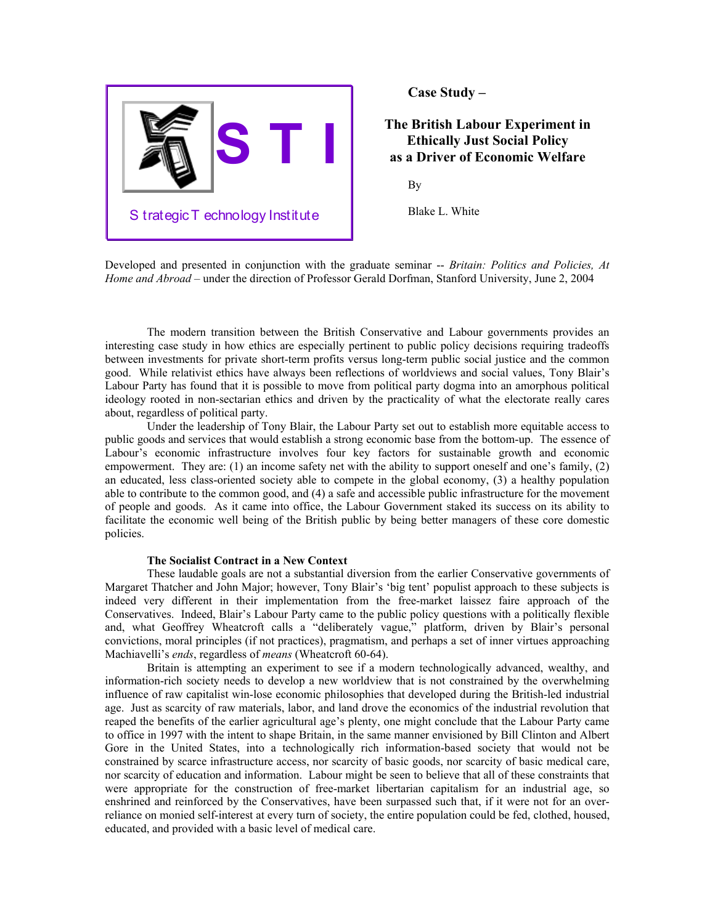

**Case Study –**

# **The British Labour Experiment in Ethically Just Social Policy as a Driver of Economic Welfare**

By

Blake L. White

Developed and presented in conjunction with the graduate seminar -- *Britain: Politics and Policies, At Home and Abroad* – under the direction of Professor Gerald Dorfman, Stanford University, June 2, 2004

The modern transition between the British Conservative and Labour governments provides an interesting case study in how ethics are especially pertinent to public policy decisions requiring tradeoffs between investments for private short-term profits versus long-term public social justice and the common good. While relativist ethics have always been reflections of worldviews and social values, Tony Blair's Labour Party has found that it is possible to move from political party dogma into an amorphous political ideology rooted in non-sectarian ethics and driven by the practicality of what the electorate really cares about, regardless of political party.

Under the leadership of Tony Blair, the Labour Party set out to establish more equitable access to public goods and services that would establish a strong economic base from the bottom-up. The essence of Labour's economic infrastructure involves four key factors for sustainable growth and economic empowerment. They are: (1) an income safety net with the ability to support oneself and one's family, (2) an educated, less class-oriented society able to compete in the global economy, (3) a healthy population able to contribute to the common good, and (4) a safe and accessible public infrastructure for the movement of people and goods. As it came into office, the Labour Government staked its success on its ability to facilitate the economic well being of the British public by being better managers of these core domestic policies.

## **The Socialist Contract in a New Context**

These laudable goals are not a substantial diversion from the earlier Conservative governments of Margaret Thatcher and John Major; however, Tony Blair's 'big tent' populist approach to these subjects is indeed very different in their implementation from the free-market laissez faire approach of the Conservatives. Indeed, Blair's Labour Party came to the public policy questions with a politically flexible and, what Geoffrey Wheatcroft calls a "deliberately vague," platform, driven by Blair's personal convictions, moral principles (if not practices), pragmatism, and perhaps a set of inner virtues approaching Machiavelli's *ends*, regardless of *means* (Wheatcroft 60-64).

Britain is attempting an experiment to see if a modern technologically advanced, wealthy, and information-rich society needs to develop a new worldview that is not constrained by the overwhelming influence of raw capitalist win-lose economic philosophies that developed during the British-led industrial age. Just as scarcity of raw materials, labor, and land drove the economics of the industrial revolution that reaped the benefits of the earlier agricultural age's plenty, one might conclude that the Labour Party came to office in 1997 with the intent to shape Britain, in the same manner envisioned by Bill Clinton and Albert Gore in the United States, into a technologically rich information-based society that would not be constrained by scarce infrastructure access, nor scarcity of basic goods, nor scarcity of basic medical care, nor scarcity of education and information. Labour might be seen to believe that all of these constraints that were appropriate for the construction of free-market libertarian capitalism for an industrial age, so enshrined and reinforced by the Conservatives, have been surpassed such that, if it were not for an overreliance on monied self-interest at every turn of society, the entire population could be fed, clothed, housed, educated, and provided with a basic level of medical care.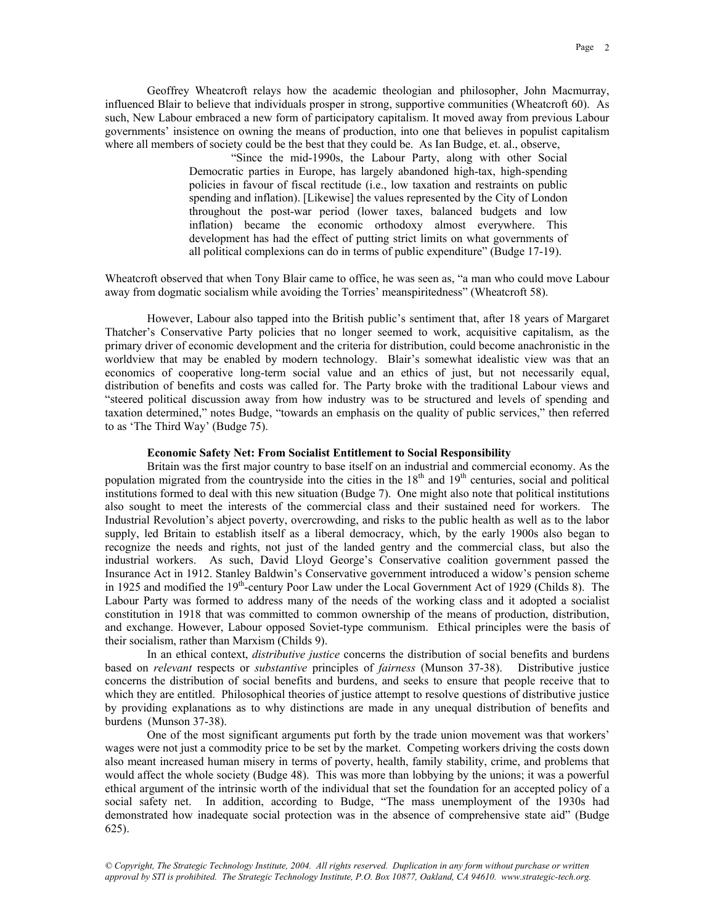Geoffrey Wheatcroft relays how the academic theologian and philosopher, John Macmurray, influenced Blair to believe that individuals prosper in strong, supportive communities (Wheatcroft 60). As such, New Labour embraced a new form of participatory capitalism. It moved away from previous Labour governments' insistence on owning the means of production, into one that believes in populist capitalism where all members of society could be the best that they could be. As Ian Budge, et. al., observe,

> "Since the mid-1990s, the Labour Party, along with other Social Democratic parties in Europe, has largely abandoned high-tax, high-spending policies in favour of fiscal rectitude (i.e., low taxation and restraints on public spending and inflation). [Likewise] the values represented by the City of London throughout the post-war period (lower taxes, balanced budgets and low inflation) became the economic orthodoxy almost everywhere. This development has had the effect of putting strict limits on what governments of all political complexions can do in terms of public expenditure" (Budge 17-19).

Wheatcroft observed that when Tony Blair came to office, he was seen as, "a man who could move Labour away from dogmatic socialism while avoiding the Torries' meanspiritedness" (Wheatcroft 58).

However, Labour also tapped into the British public's sentiment that, after 18 years of Margaret Thatcher's Conservative Party policies that no longer seemed to work, acquisitive capitalism, as the primary driver of economic development and the criteria for distribution, could become anachronistic in the worldview that may be enabled by modern technology. Blair's somewhat idealistic view was that an economics of cooperative long-term social value and an ethics of just, but not necessarily equal, distribution of benefits and costs was called for. The Party broke with the traditional Labour views and "steered political discussion away from how industry was to be structured and levels of spending and taxation determined," notes Budge, "towards an emphasis on the quality of public services," then referred to as 'The Third Way' (Budge 75).

#### **Economic Safety Net: From Socialist Entitlement to Social Responsibility**

Britain was the first major country to base itself on an industrial and commercial economy. As the population migrated from the countryside into the cities in the 18<sup>th</sup> and 19<sup>th</sup> centuries, social and political institutions formed to deal with this new situation (Budge 7). One might also note that political institutions also sought to meet the interests of the commercial class and their sustained need for workers. The Industrial Revolution's abject poverty, overcrowding, and risks to the public health as well as to the labor supply, led Britain to establish itself as a liberal democracy, which, by the early 1900s also began to recognize the needs and rights, not just of the landed gentry and the commercial class, but also the industrial workers. As such, David Lloyd George's Conservative coalition government passed the Insurance Act in 1912. Stanley Baldwin's Conservative government introduced a widow's pension scheme in 1925 and modified the 19<sup>th</sup>-century Poor Law under the Local Government Act of 1929 (Childs 8). The Labour Party was formed to address many of the needs of the working class and it adopted a socialist constitution in 1918 that was committed to common ownership of the means of production, distribution, and exchange. However, Labour opposed Soviet-type communism. Ethical principles were the basis of their socialism, rather than Marxism (Childs 9).

In an ethical context, *distributive justice* concerns the distribution of social benefits and burdens based on *relevant* respects or *substantive* principles of *fairness* (Munson 37-38). Distributive justice concerns the distribution of social benefits and burdens, and seeks to ensure that people receive that to which they are entitled. Philosophical theories of justice attempt to resolve questions of distributive justice by providing explanations as to why distinctions are made in any unequal distribution of benefits and burdens (Munson 37-38).

One of the most significant arguments put forth by the trade union movement was that workers' wages were not just a commodity price to be set by the market. Competing workers driving the costs down also meant increased human misery in terms of poverty, health, family stability, crime, and problems that would affect the whole society (Budge 48). This was more than lobbying by the unions; it was a powerful ethical argument of the intrinsic worth of the individual that set the foundation for an accepted policy of a social safety net. In addition, according to Budge, "The mass unemployment of the 1930s had demonstrated how inadequate social protection was in the absence of comprehensive state aid" (Budge 625).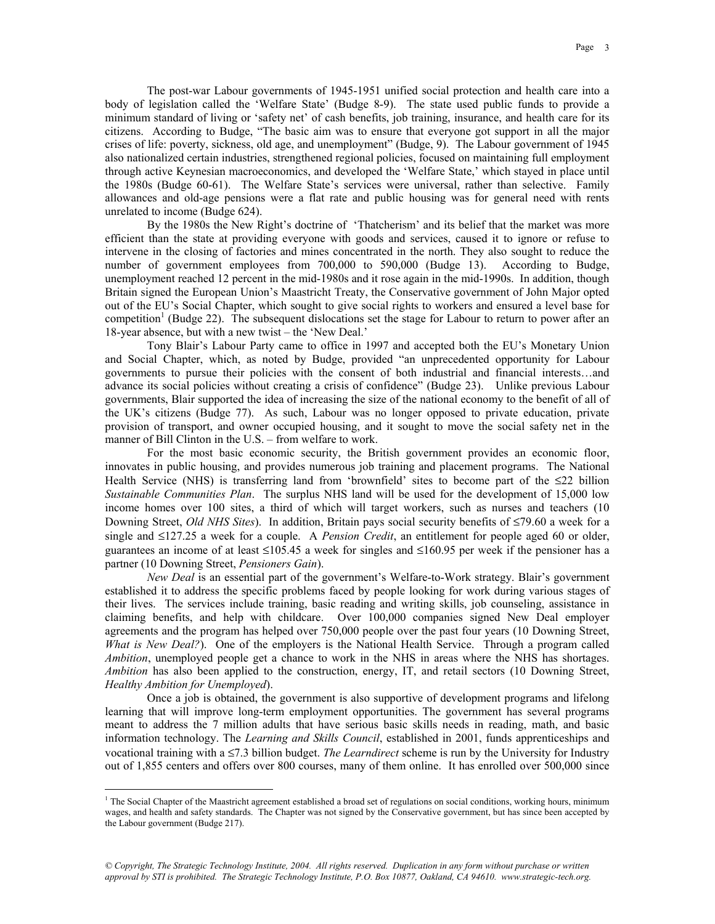The post-war Labour governments of 1945-1951 unified social protection and health care into a body of legislation called the 'Welfare State' (Budge 8-9). The state used public funds to provide a minimum standard of living or 'safety net' of cash benefits, job training, insurance, and health care for its citizens. According to Budge, "The basic aim was to ensure that everyone got support in all the major crises of life: poverty, sickness, old age, and unemployment" (Budge, 9). The Labour government of 1945 also nationalized certain industries, strengthened regional policies, focused on maintaining full employment through active Keynesian macroeconomics, and developed the 'Welfare State,' which stayed in place until the 1980s (Budge 60-61). The Welfare State's services were universal, rather than selective. Family allowances and old-age pensions were a flat rate and public housing was for general need with rents unrelated to income (Budge 624).

By the 1980s the New Right's doctrine of 'Thatcherism' and its belief that the market was more efficient than the state at providing everyone with goods and services, caused it to ignore or refuse to intervene in the closing of factories and mines concentrated in the north. They also sought to reduce the number of government employees from 700,000 to 590,000 (Budge 13). According to Budge, unemployment reached 12 percent in the mid-1980s and it rose again in the mid-1990s. In addition, though Britain signed the European Union's Maastricht Treaty, the Conservative government of John Major opted out of the EU's Social Chapter, which sought to give social rights to workers and ensured a level base for competition<sup>1</sup> [\(](#page-2-0)Budge 22). The subsequent dislocations set the stage for Labour to return to power after an 18-year absence, but with a new twist – the 'New Deal.'

Tony Blair's Labour Party came to office in 1997 and accepted both the EU's Monetary Union and Social Chapter, which, as noted by Budge, provided "an unprecedented opportunity for Labour governments to pursue their policies with the consent of both industrial and financial interests…and advance its social policies without creating a crisis of confidence" (Budge 23). Unlike previous Labour governments, Blair supported the idea of increasing the size of the national economy to the benefit of all of the UK's citizens (Budge 77). As such, Labour was no longer opposed to private education, private provision of transport, and owner occupied housing, and it sought to move the social safety net in the manner of Bill Clinton in the U.S. – from welfare to work.

For the most basic economic security, the British government provides an economic floor, innovates in public housing, and provides numerous job training and placement programs. The National Health Service (NHS) is transferring land from 'brownfield' sites to become part of the ≤22 billion *Sustainable Communities Plan*. The surplus NHS land will be used for the development of 15,000 low income homes over 100 sites, a third of which will target workers, such as nurses and teachers (10 Downing Street, *Old NHS Sites*). In addition, Britain pays social security benefits of ≤79.60 a week for a single and ≤127.25 a week for a couple. A *Pension Credit*, an entitlement for people aged 60 or older, guarantees an income of at least ≤105.45 a week for singles and ≤160.95 per week if the pensioner has a partner (10 Downing Street, *Pensioners Gain*).

*New Deal* is an essential part of the government's Welfare-to-Work strategy. Blair's government established it to address the specific problems faced by people looking for work during various stages of their lives. The services include training, basic reading and writing skills, job counseling, assistance in claiming benefits, and help with childcare. Over 100,000 companies signed New Deal employer agreements and the program has helped over 750,000 people over the past four years (10 Downing Street, *What is New Deal?*). One of the employers is the National Health Service. Through a program called *Ambition*, unemployed people get a chance to work in the NHS in areas where the NHS has shortages. *Ambition* has also been applied to the construction, energy, IT, and retail sectors (10 Downing Street, *Healthy Ambition for Unemployed*).

Once a job is obtained, the government is also supportive of development programs and lifelong learning that will improve long-term employment opportunities. The government has several programs meant to address the 7 million adults that have serious basic skills needs in reading, math, and basic information technology. The *Learning and Skills Council*, established in 2001, funds apprenticeships and vocational training with a ≤7.3 billion budget. *The Learndirect* scheme is run by the University for Industry out of 1,855 centers and offers over 800 courses, many of them online. It has enrolled over 500,000 since

 $\overline{a}$ 

<span id="page-2-0"></span><sup>&</sup>lt;sup>1</sup> The Social Chapter of the Maastricht agreement established a broad set of regulations on social conditions, working hours, minimum wages, and health and safety standards. The Chapter was not signed by the Conservative government, but has since been accepted by the Labour government (Budge 217).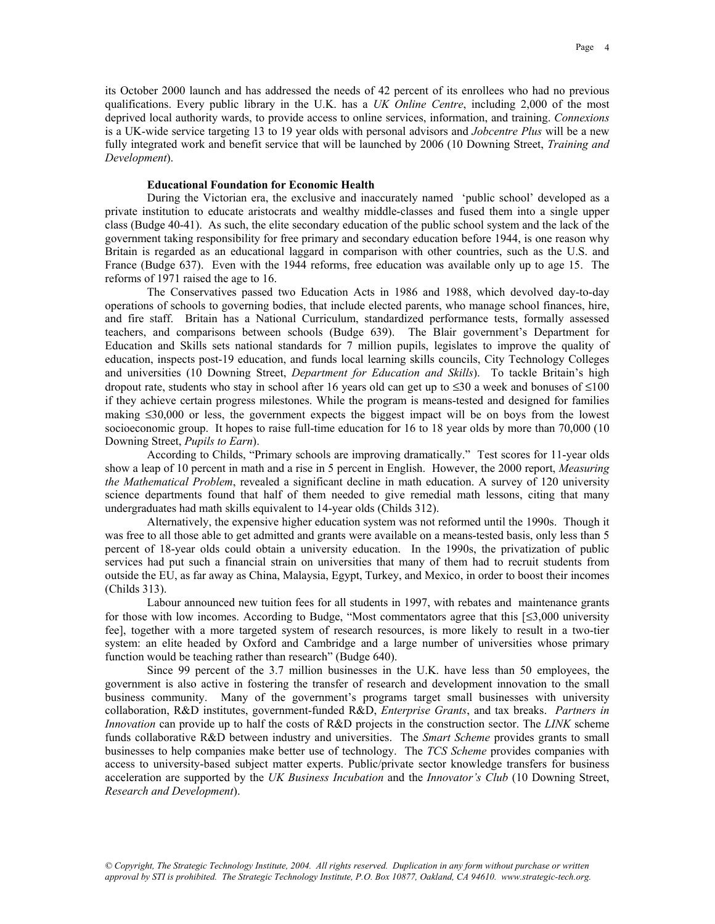its October 2000 launch and has addressed the needs of 42 percent of its enrollees who had no previous qualifications. Every public library in the U.K. has a *UK Online Centre*, including 2,000 of the most deprived local authority wards, to provide access to online services, information, and training. *Connexions* is a UK-wide service targeting 13 to 19 year olds with personal advisors and *Jobcentre Plus* will be a new fully integrated work and benefit service that will be launched by 2006 (10 Downing Street, *Training and Development*).

## **Educational Foundation for Economic Health**

During the Victorian era, the exclusive and inaccurately named 'public school' developed as a private institution to educate aristocrats and wealthy middle-classes and fused them into a single upper class (Budge 40-41). As such, the elite secondary education of the public school system and the lack of the government taking responsibility for free primary and secondary education before 1944, is one reason why Britain is regarded as an educational laggard in comparison with other countries, such as the U.S. and France (Budge 637). Even with the 1944 reforms, free education was available only up to age 15. The reforms of 1971 raised the age to 16.

The Conservatives passed two Education Acts in 1986 and 1988, which devolved day-to-day operations of schools to governing bodies, that include elected parents, who manage school finances, hire, and fire staff. Britain has a National Curriculum, standardized performance tests, formally assessed teachers, and comparisons between schools (Budge 639). The Blair government's Department for Education and Skills sets national standards for 7 million pupils, legislates to improve the quality of education, inspects post-19 education, and funds local learning skills councils, City Technology Colleges and universities (10 Downing Street, *Department for Education and Skills*). To tackle Britain's high dropout rate, students who stay in school after 16 years old can get up to ≤30 a week and bonuses of ≤100 if they achieve certain progress milestones. While the program is means-tested and designed for families making ≤30,000 or less, the government expects the biggest impact will be on boys from the lowest socioeconomic group. It hopes to raise full-time education for 16 to 18 year olds by more than 70,000 (10 Downing Street, *Pupils to Earn*).

According to Childs, "Primary schools are improving dramatically." Test scores for 11-year olds show a leap of 10 percent in math and a rise in 5 percent in English. However, the 2000 report, *Measuring the Mathematical Problem*, revealed a significant decline in math education. A survey of 120 university science departments found that half of them needed to give remedial math lessons, citing that many undergraduates had math skills equivalent to 14-year olds (Childs 312).

Alternatively, the expensive higher education system was not reformed until the 1990s. Though it was free to all those able to get admitted and grants were available on a means-tested basis, only less than 5 percent of 18-year olds could obtain a university education. In the 1990s, the privatization of public services had put such a financial strain on universities that many of them had to recruit students from outside the EU, as far away as China, Malaysia, Egypt, Turkey, and Mexico, in order to boost their incomes (Childs 313).

Labour announced new tuition fees for all students in 1997, with rebates and maintenance grants for those with low incomes. According to Budge, "Most commentators agree that this [≤3,000 university fee], together with a more targeted system of research resources, is more likely to result in a two-tier system: an elite headed by Oxford and Cambridge and a large number of universities whose primary function would be teaching rather than research" (Budge 640).

Since 99 percent of the 3.7 million businesses in the U.K. have less than 50 employees, the government is also active in fostering the transfer of research and development innovation to the small business community. Many of the government's programs target small businesses with university collaboration, R&D institutes, government-funded R&D, *Enterprise Grants*, and tax breaks. *Partners in Innovation* can provide up to half the costs of R&D projects in the construction sector. The *LINK* scheme funds collaborative R&D between industry and universities. The *Smart Scheme* provides grants to small businesses to help companies make better use of technology. The *TCS Scheme* provides companies with access to university-based subject matter experts. Public/private sector knowledge transfers for business acceleration are supported by the *UK Business Incubation* and the *Innovator's Club* (10 Downing Street, *Research and Development*).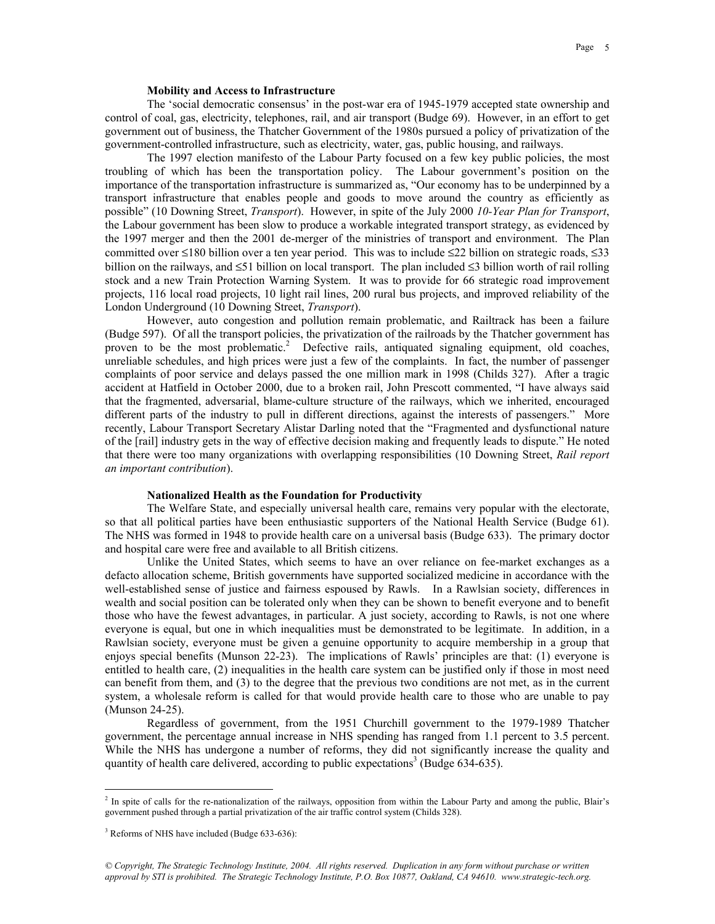#### **Mobility and Access to Infrastructure**

The 'social democratic consensus' in the post-war era of 1945-1979 accepted state ownership and control of coal, gas, electricity, telephones, rail, and air transport (Budge 69). However, in an effort to get government out of business, the Thatcher Government of the 1980s pursued a policy of privatization of the government-controlled infrastructure, such as electricity, water, gas, public housing, and railways.

The 1997 election manifesto of the Labour Party focused on a few key public policies, the most troubling of which has been the transportation policy. The Labour government's position on the importance of the transportation infrastructure is summarized as, "Our economy has to be underpinned by a transport infrastructure that enables people and goods to move around the country as efficiently as possible" (10 Downing Street, *Transport*). However, in spite of the July 2000 *10-Year Plan for Transport*, the Labour government has been slow to produce a workable integrated transport strategy, as evidenced by the 1997 merger and then the 2001 de-merger of the ministries of transport and environment. The Plan committed over  $\leq 180$  billion over a ten year period. This was to include  $\leq 22$  billion on strategic roads,  $\leq 33$ billion on the railways, and ≤51 billion on local transport. The plan included ≤3 billion worth of rail rolling stock and a new Train Protection Warning System. It was to provide for 66 strategic road improvement projects, 116 local road projects, 10 light rail lines, 200 rural bus projects, and improved reliability of the London Underground (10 Downing Street, *Transport*).

However, auto congestion and pollution remain problematic, and Railtrack has been a failure (Budge 597). Of all the transport policies, the privatization of the railroads by the Thatcher government has proven to be the most problematic.<sup>[2](#page-4-0)</sup> Defective rails, antiquated signaling equipment, old coaches, unreliable schedules, and high prices were just a few of the complaints. In fact, the number of passenger complaints of poor service and delays passed the one million mark in 1998 (Childs 327). After a tragic accident at Hatfield in October 2000, due to a broken rail, John Prescott commented, "I have always said that the fragmented, adversarial, blame-culture structure of the railways, which we inherited, encouraged different parts of the industry to pull in different directions, against the interests of passengers." More recently, Labour Transport Secretary Alistar Darling noted that the "Fragmented and dysfunctional nature of the [rail] industry gets in the way of effective decision making and frequently leads to dispute." He noted that there were too many organizations with overlapping responsibilities (10 Downing Street, *Rail report an important contribution*).

#### **Nationalized Health as the Foundation for Productivity**

The Welfare State, and especially universal health care, remains very popular with the electorate, so that all political parties have been enthusiastic supporters of the National Health Service (Budge 61). The NHS was formed in 1948 to provide health care on a universal basis (Budge 633). The primary doctor and hospital care were free and available to all British citizens.

Unlike the United States, which seems to have an over reliance on fee-market exchanges as a defacto allocation scheme, British governments have supported socialized medicine in accordance with the well-established sense of justice and fairness espoused by Rawls. In a Rawlsian society, differences in wealth and social position can be tolerated only when they can be shown to benefit everyone and to benefit those who have the fewest advantages, in particular. A just society, according to Rawls, is not one where everyone is equal, but one in which inequalities must be demonstrated to be legitimate. In addition, in a Rawlsian society, everyone must be given a genuine opportunity to acquire membership in a group that enjoys special benefits (Munson 22-23). The implications of Rawls' principles are that: (1) everyone is entitled to health care, (2) inequalities in the health care system can be justified only if those in most need can benefit from them, and (3) to the degree that the previous two conditions are not met, as in the current system, a wholesale reform is called for that would provide health care to those who are unable to pay (Munson 24-25).

Regardless of government, from the 1951 Churchill government to the 1979-1989 Thatcher government, the percentage annual increase in NHS spending has ranged from 1.1 percent to 3.5 percent. While the NHS has undergone a number of reforms, they did not significantly increase the quality and quantity of health care delivered, according to public expectations<sup>3</sup> (Budge 634-635).

 $\overline{a}$ 

<span id="page-4-0"></span><sup>&</sup>lt;sup>2</sup> In spite of calls for the re-nationalization of the railways, opposition from within the Labour Party and among the public, Blair's government pushed through a partial privatization of the air traffic control system (Childs 328).

<span id="page-4-1"></span><sup>&</sup>lt;sup>3</sup> Reforms of NHS have included (Budge 633-636):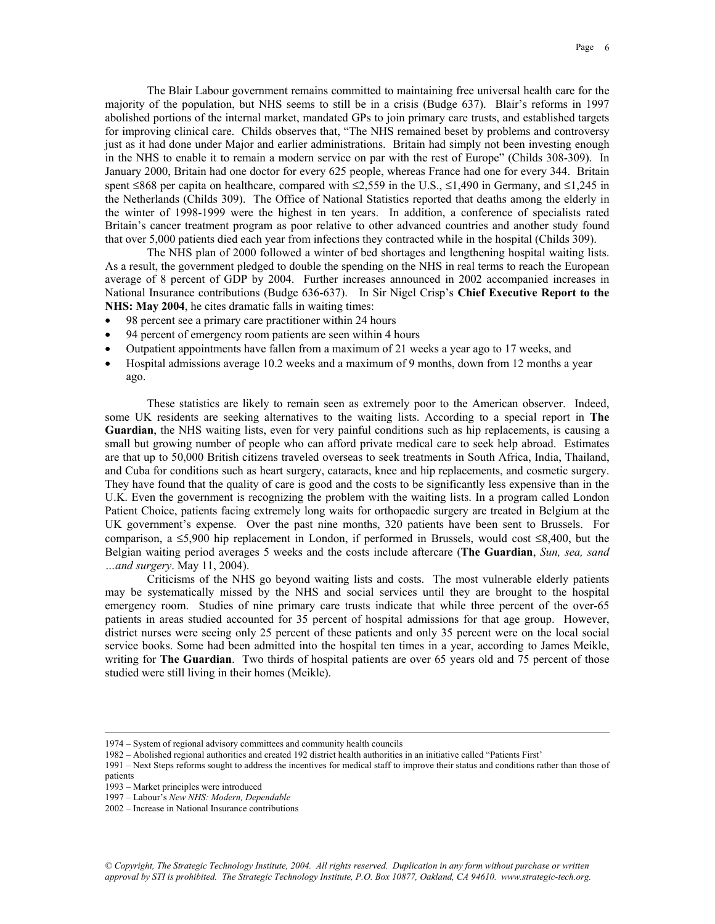The Blair Labour government remains committed to maintaining free universal health care for the majority of the population, but NHS seems to still be in a crisis (Budge 637). Blair's reforms in 1997 abolished portions of the internal market, mandated GPs to join primary care trusts, and established targets for improving clinical care. Childs observes that, "The NHS remained beset by problems and controversy just as it had done under Major and earlier administrations. Britain had simply not been investing enough in the NHS to enable it to remain a modern service on par with the rest of Europe" (Childs 308-309). In January 2000, Britain had one doctor for every 625 people, whereas France had one for every 344. Britain spent ≤868 per capita on healthcare, compared with ≤2,559 in the U.S., ≤1,490 in Germany, and ≤1,245 in the Netherlands (Childs 309). The Office of National Statistics reported that deaths among the elderly in the winter of 1998-1999 were the highest in ten years. In addition, a conference of specialists rated Britain's cancer treatment program as poor relative to other advanced countries and another study found that over 5,000 patients died each year from infections they contracted while in the hospital (Childs 309).

The NHS plan of 2000 followed a winter of bed shortages and lengthening hospital waiting lists. As a result, the government pledged to double the spending on the NHS in real terms to reach the European average of 8 percent of GDP by 2004. Further increases announced in 2002 accompanied increases in National Insurance contributions (Budge 636-637). In Sir Nigel Crisp's **Chief Executive Report to the NHS: May 2004**, he cites dramatic falls in waiting times:

- 98 percent see a primary care practitioner within 24 hours
- 94 percent of emergency room patients are seen within 4 hours
- Outpatient appointments have fallen from a maximum of 21 weeks a year ago to 17 weeks, and
- Hospital admissions average 10.2 weeks and a maximum of 9 months, down from 12 months a year ago.

These statistics are likely to remain seen as extremely poor to the American observer. Indeed, some UK residents are seeking alternatives to the waiting lists. According to a special report in **The Guardian**, the NHS waiting lists, even for very painful conditions such as hip replacements, is causing a small but growing number of people who can afford private medical care to seek help abroad. Estimates are that up to 50,000 British citizens traveled overseas to seek treatments in South Africa, India, Thailand, and Cuba for conditions such as heart surgery, cataracts, knee and hip replacements, and cosmetic surgery. They have found that the quality of care is good and the costs to be significantly less expensive than in the U.K. Even the government is recognizing the problem with the waiting lists. In a program called London Patient Choice, patients facing extremely long waits for orthopaedic surgery are treated in Belgium at the UK government's expense. Over the past nine months, 320 patients have been sent to Brussels. For comparison, a ≤5,900 hip replacement in London, if performed in Brussels, would cost ≤8,400, but the Belgian waiting period averages 5 weeks and the costs include aftercare (**The Guardian**, *Sun, sea, sand …and surgery*. May 11, 2004).

Criticisms of the NHS go beyond waiting lists and costs. The most vulnerable elderly patients may be systematically missed by the NHS and social services until they are brought to the hospital emergency room. Studies of nine primary care trusts indicate that while three percent of the over-65 patients in areas studied accounted for 35 percent of hospital admissions for that age group. However, district nurses were seeing only 25 percent of these patients and only 35 percent were on the local social service books. Some had been admitted into the hospital ten times in a year, according to James Meikle, writing for **The Guardian**. Two thirds of hospital patients are over 65 years old and 75 percent of those studied were still living in their homes (Meikle).

 <sup>1974 –</sup> System of regional advisory committees and community health councils

<sup>1982 –</sup> Abolished regional authorities and created 192 district health authorities in an initiative called "Patients First'

<sup>1991 –</sup> Next Steps reforms sought to address the incentives for medical staff to improve their status and conditions rather than those of patients

<sup>1993 –</sup> Market principles were introduced

<sup>1997 –</sup> Labour's *New NHS: Modern, Dependable*

<sup>2002 –</sup> Increase in National Insurance contributions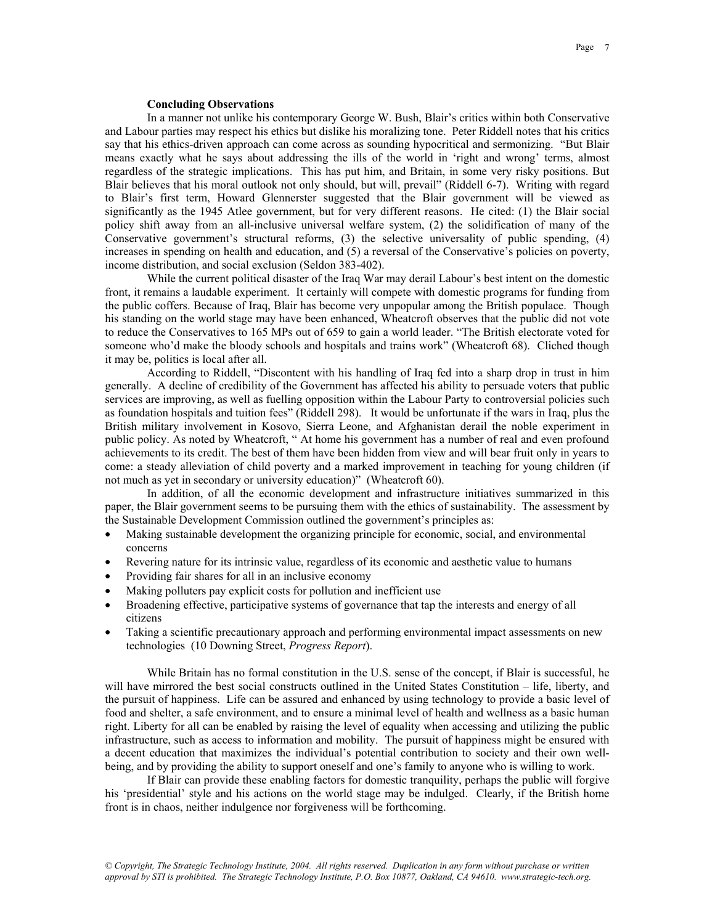#### **Concluding Observations**

In a manner not unlike his contemporary George W. Bush, Blair's critics within both Conservative and Labour parties may respect his ethics but dislike his moralizing tone. Peter Riddell notes that his critics say that his ethics-driven approach can come across as sounding hypocritical and sermonizing. "But Blair means exactly what he says about addressing the ills of the world in 'right and wrong' terms, almost regardless of the strategic implications. This has put him, and Britain, in some very risky positions. But Blair believes that his moral outlook not only should, but will, prevail" (Riddell 6-7). Writing with regard to Blair's first term, Howard Glennerster suggested that the Blair government will be viewed as significantly as the 1945 Atlee government, but for very different reasons. He cited: (1) the Blair social policy shift away from an all-inclusive universal welfare system, (2) the solidification of many of the Conservative government's structural reforms, (3) the selective universality of public spending, (4) increases in spending on health and education, and (5) a reversal of the Conservative's policies on poverty, income distribution, and social exclusion (Seldon 383-402).

While the current political disaster of the Iraq War may derail Labour's best intent on the domestic front, it remains a laudable experiment. It certainly will compete with domestic programs for funding from the public coffers. Because of Iraq, Blair has become very unpopular among the British populace. Though his standing on the world stage may have been enhanced, Wheatcroft observes that the public did not vote to reduce the Conservatives to 165 MPs out of 659 to gain a world leader. "The British electorate voted for someone who'd make the bloody schools and hospitals and trains work" (Wheatcroft 68). Cliched though it may be, politics is local after all.

According to Riddell, "Discontent with his handling of Iraq fed into a sharp drop in trust in him generally. A decline of credibility of the Government has affected his ability to persuade voters that public services are improving, as well as fuelling opposition within the Labour Party to controversial policies such as foundation hospitals and tuition fees" (Riddell 298). It would be unfortunate if the wars in Iraq, plus the British military involvement in Kosovo, Sierra Leone, and Afghanistan derail the noble experiment in public policy. As noted by Wheatcroft, " At home his government has a number of real and even profound achievements to its credit. The best of them have been hidden from view and will bear fruit only in years to come: a steady alleviation of child poverty and a marked improvement in teaching for young children (if not much as yet in secondary or university education)" (Wheatcroft 60).

In addition, of all the economic development and infrastructure initiatives summarized in this paper, the Blair government seems to be pursuing them with the ethics of sustainability. The assessment by the Sustainable Development Commission outlined the government's principles as:

- Making sustainable development the organizing principle for economic, social, and environmental concerns
- Revering nature for its intrinsic value, regardless of its economic and aesthetic value to humans
- Providing fair shares for all in an inclusive economy
- Making polluters pay explicit costs for pollution and inefficient use
- Broadening effective, participative systems of governance that tap the interests and energy of all citizens
- Taking a scientific precautionary approach and performing environmental impact assessments on new technologies (10 Downing Street, *Progress Report*).

While Britain has no formal constitution in the U.S. sense of the concept, if Blair is successful, he will have mirrored the best social constructs outlined in the United States Constitution – life, liberty, and the pursuit of happiness. Life can be assured and enhanced by using technology to provide a basic level of food and shelter, a safe environment, and to ensure a minimal level of health and wellness as a basic human right. Liberty for all can be enabled by raising the level of equality when accessing and utilizing the public infrastructure, such as access to information and mobility. The pursuit of happiness might be ensured with a decent education that maximizes the individual's potential contribution to society and their own wellbeing, and by providing the ability to support oneself and one's family to anyone who is willing to work.

If Blair can provide these enabling factors for domestic tranquility, perhaps the public will forgive his 'presidential' style and his actions on the world stage may be indulged. Clearly, if the British home front is in chaos, neither indulgence nor forgiveness will be forthcoming.